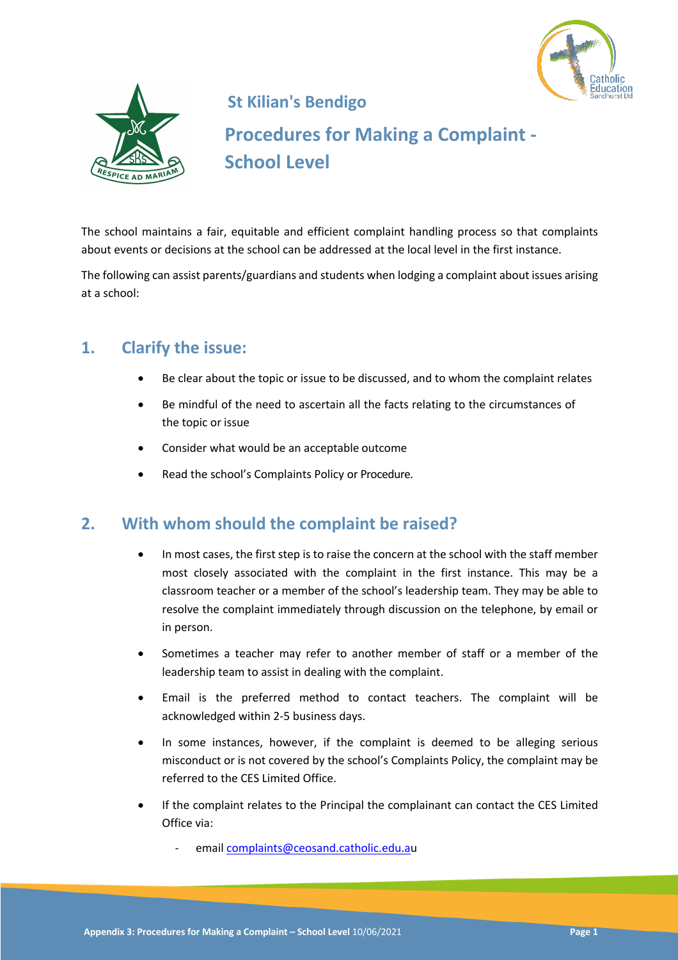



## **St Kilian's Bendigo**

**Procedures for Making a Complaint - School Level**

The school maintains a fair, equitable and efficient complaint handling process so that complaints about events or decisions at the school can be addressed at the local level in the first instance.

The following can assist parents/guardians and students when lodging a complaint about issues arising at a school:

## **1. Clarify the issue:**

- Be clear about the topic or issue to be discussed, and to whom the complaint relates
- Be mindful of the need to ascertain all the facts relating to the circumstances of the topic or issue
- Consider what would be an acceptable outcome
- Read the school's Complaints Policy or Procedure.

## **2. With whom should the complaint be raised?**

- In most cases, the first step is to raise the concern at the school with the staff member most closely associated with the complaint in the first instance. This may be a classroom teacher or a member of the school's leadership team. They may be able to resolve the complaint immediately through discussion on the telephone, by email or in person.
- Sometimes a teacher may refer to another member of staff or a member of the leadership team to assist in dealing with the complaint.
- Email is the preferred method to contact teachers. The complaint will be acknowledged within 2-5 business days.
- In some instances, however, if the complaint is deemed to be alleging serious misconduct or is not covered by the school's Complaints Policy, the complaint may be referred to the CES Limited Office.
- If the complaint relates to the Principal the complainant can contact the CES Limited Office via:
	- email complaints@ceosand.catholic.edu.au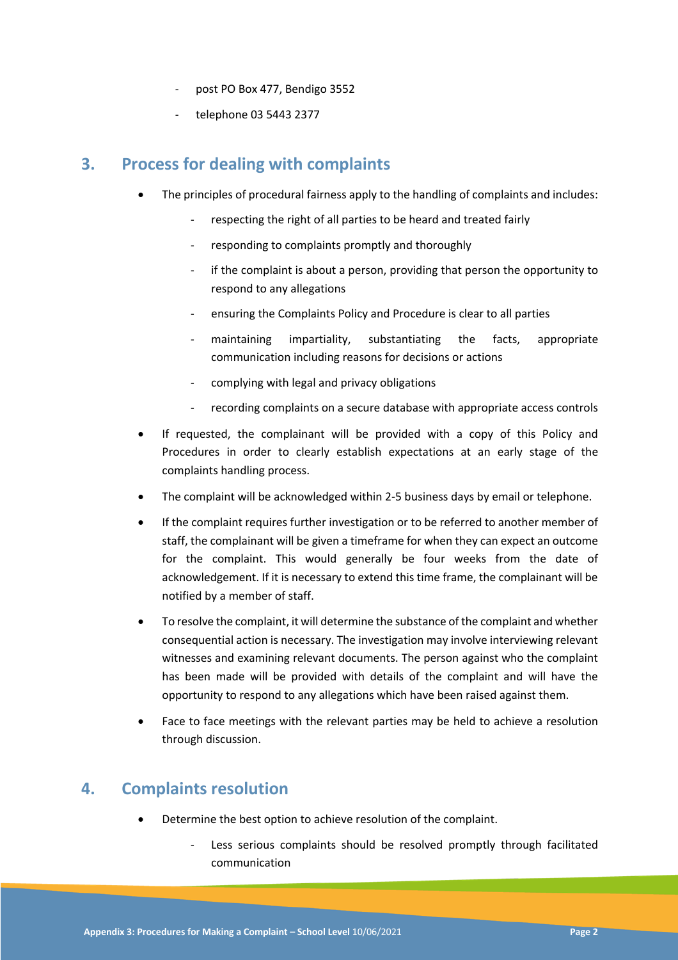- post PO Box 477, Bendigo 3552
- telephone 03 5443 2377

# **3. Process for dealing with complaints**

- The principles of procedural fairness apply to the handling of complaints and includes:
	- respecting the right of all parties to be heard and treated fairly
	- responding to complaints promptly and thoroughly
	- if the complaint is about a person, providing that person the opportunity to respond to any allegations
	- ensuring the Complaints Policy and Procedure is clear to all parties
	- maintaining impartiality, substantiating the facts, appropriate communication including reasons for decisions or actions
	- complying with legal and privacy obligations
	- recording complaints on a secure database with appropriate access controls
- If requested, the complainant will be provided with a copy of this Policy and Procedures in order to clearly establish expectations at an early stage of the complaints handling process.
- The complaint will be acknowledged within 2-5 business days by email or telephone.
- If the complaint requires further investigation or to be referred to another member of staff, the complainant will be given a timeframe for when they can expect an outcome for the complaint. This would generally be four weeks from the date of acknowledgement. If it is necessary to extend this time frame, the complainant will be notified by a member of staff.
- To resolve the complaint, it will determine the substance of the complaint and whether consequential action is necessary. The investigation may involve interviewing relevant witnesses and examining relevant documents. The person against who the complaint has been made will be provided with details of the complaint and will have the opportunity to respond to any allegations which have been raised against them.
- Face to face meetings with the relevant parties may be held to achieve a resolution through discussion.

## **4. Complaints resolution**

- Determine the best option to achieve resolution of the complaint.
	- Less serious complaints should be resolved promptly through facilitated communication